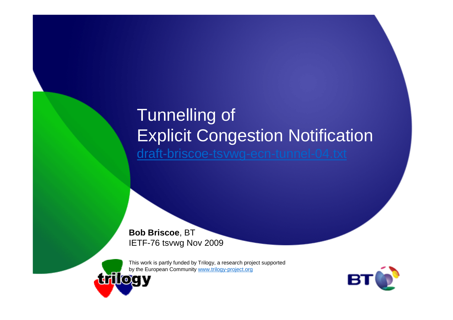### Tunnelling of Explicit Congestion Notificationdraft-briscoe-tsvwg-ecn-tunnel-04.txt

**Bob Briscoe**, BTIETF-76 tsvwg Nov 2009



This work is partly funded by Trilogy, a research project supported

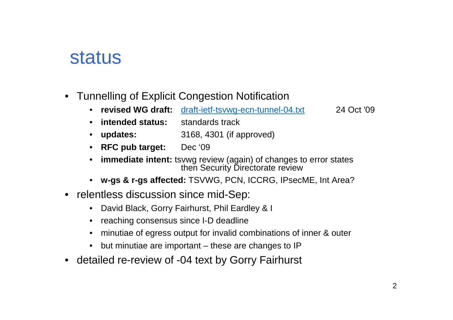### status

- Tunnelling of Explicit Congestion Notification
	- **revised WG draft:** draft-ietf-tsvwg-ecn-tunnel-04.txt 24 Oct '09

- **intended status:** standards track
- updates: **updates:** 3168, 4301 (if approved)
- **RFC pub target:** Dec '09
- **immediate intent:** tsvwg review (again) of changes to error states•then Security Directorate review
- **w-gs & r-gs affected:** TSVWG, PCN, ICCRG, IPsecME, Int Area?
- relentless discussion since mid-Sep:
	- David Black, Gorry Fairhurst, Phil Eardley & I
	- reaching consensus since I-D deadline
	- •minutiae of egress output for invalid combinations of inner & outer
	- •but minutiae are important – these are changes to IP
- detailed re-review of -04 text by Gorry Fairhurst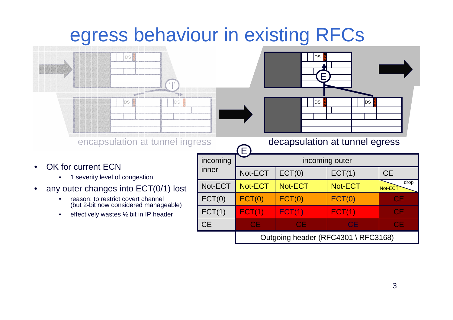## egress behaviour in existing RFCs



- • OK for current ECN
	- 1 severity level of congestion
- • any outer changes into ECT(0/1) lost
	- $\bullet$  reason: to restrict covert channel (but 2-bit now considered manageable)
	- •effectively wastes ½ bit in IP header

| 000       |                                     |           | decapsulation at tunnel equess |                 |  |
|-----------|-------------------------------------|-----------|--------------------------------|-----------------|--|
| incoming  | incoming outer                      |           |                                |                 |  |
| inner     | Not-ECT                             | ECT(0)    | ECT(1)                         | <b>CE</b>       |  |
| Not-ECT   | Not-ECT                             | Not-ECT   | Not-ECT                        | drop<br>Not-ECT |  |
| ECT(0)    | ECT(0)                              | ECT(0)    | ECT(0)                         | <b>CE</b>       |  |
| ECT(1)    | ECT(1)                              | ECT(1)    | ECT(1)                         | <b>CE</b>       |  |
| <b>CE</b> | <b>CE</b>                           | <b>CE</b> | <b>CE</b>                      | <b>CE</b>       |  |
|           | Outgoing header (RFC4301 \ RFC3168) |           |                                |                 |  |

**N**DS

E

DS

**N**DS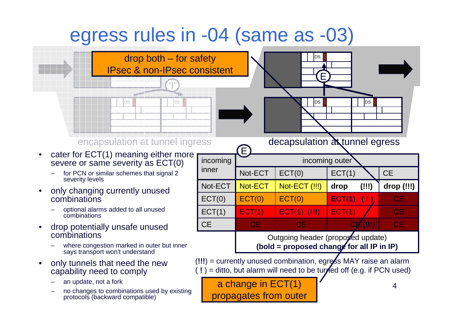## egress rules in -04 (same as -03)

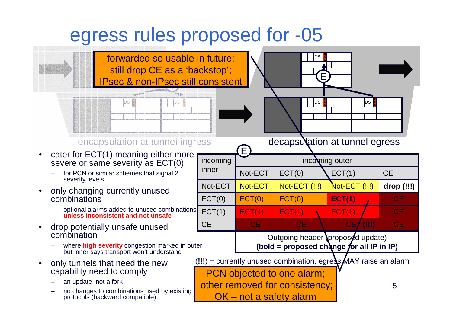### egress rules proposed for -05

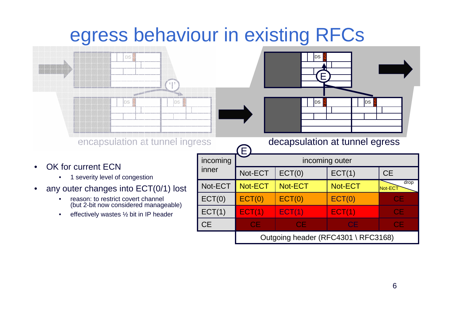## egress behaviour in existing RFCs



- • OK for current ECN
	- 1 severity level of congestion
- • any outer changes into ECT(0/1) lost
	- $\bullet$  reason: to restrict covert channel (but 2-bit now considered manageable)
	- •effectively wastes ½ bit in IP header

| ess       | decapsulation at tunnel egress<br>E |           |           |                 |  |
|-----------|-------------------------------------|-----------|-----------|-----------------|--|
| incoming  | incoming outer                      |           |           |                 |  |
| inner     | Not-ECT                             | ECT(0)    | ECT(1)    | <b>CE</b>       |  |
| Not-ECT   | Not-ECT                             | Not-ECT   | Not-ECT   | drop<br>Not-ECT |  |
| ECT(0)    | ECT(0)                              | ECT(0)    | ECT(0)    | CЕ              |  |
| ECT(1)    | ECT(1)                              | ECT(1)    | ECT(1)    | <b>CE</b>       |  |
| <b>CE</b> | <b>CE</b>                           | <b>CE</b> | <b>CE</b> | <b>CE</b>       |  |
|           | Outgoing header (RFC4301 \ RFC3168) |           |           |                 |  |

**N**DS

E

DS

**N**DS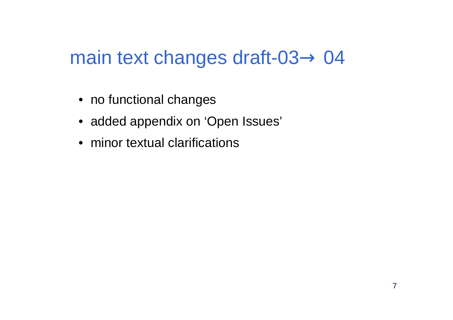# main text changes draft-03 $\rightarrow$  04

- no functional changes
- added appendix on 'Open Issues'
- minor textual clarifications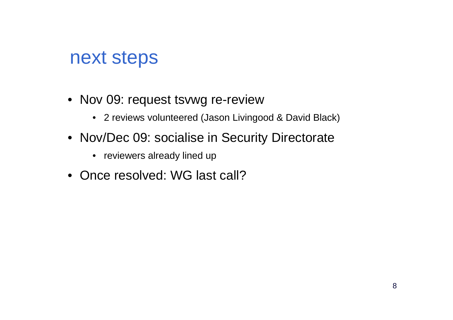### next steps

- Nov 09: request tsvwg re-review
	- 2 reviews volunteered (Jason Livingood & David Black)
- Nov/Dec 09: socialise in Security Directorate
	- reviewers already lined up
- Once resolved: WG last call?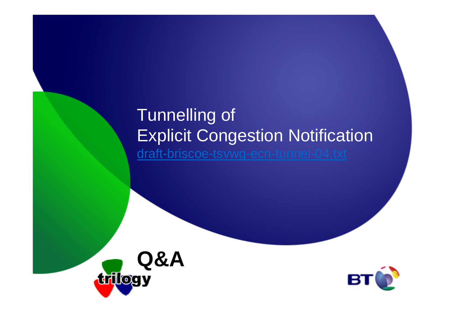### Tunnelling of Explicit Congestion Notificationdraft-briscoe-tsvwg-ecn-tunnel-04.txt



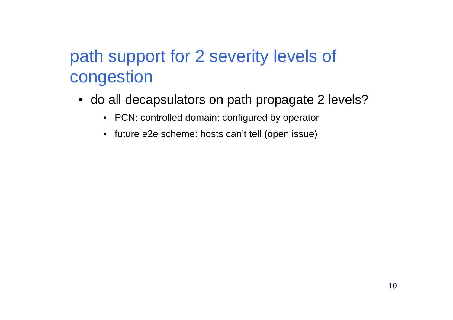### path support for 2 severity levels of congestion

- do all decapsulators on path propagate 2 levels?
	- PCN: controlled domain: configured by operator
	- future e2e scheme: hosts can't tell (open issue)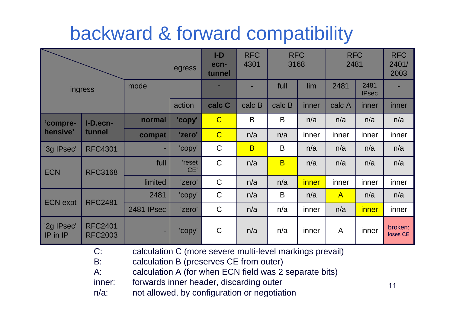## backward & forward compatibility

| egress                |                                  |            | $I-D$<br>ecn-<br>tunnel | <b>RFC</b><br>4301 | <b>RFC</b><br>3168 |                | <b>RFC</b><br>2481 |              | <b>RFC</b><br>2401/<br>2003 |                     |
|-----------------------|----------------------------------|------------|-------------------------|--------------------|--------------------|----------------|--------------------|--------------|-----------------------------|---------------------|
| ingress               |                                  | mode       |                         |                    |                    | full           | lim                | 2481         | 2481<br><b>IPsec</b>        |                     |
|                       |                                  |            | action                  | calc C             | calc B             | calc B         | inner              | calc A       | inner                       | inner               |
| 'compre-<br>hensive'  | I-D.ecn-<br>tunnel               | normal     | 'copy'                  | $\overline{C}$     | $\mathsf B$        | $\mathsf B$    | n/a                | n/a          | n/a                         | n/a                 |
|                       |                                  | compat     | 'zero'                  | $\overline{C}$     | n/a                | n/a            | inner              | inner        | inner                       | inner               |
| '3g IPsec'            | <b>RFC4301</b>                   | ٠          | 'copy'                  | $\mathsf C$        | $\overline{B}$     | $\mathsf B$    | n/a                | n/a          | n/a                         | n/a                 |
| <b>ECN</b>            | <b>RFC3168</b>                   | full       | 'reset<br>CE'           | $\mathsf C$        | n/a                | $\overline{B}$ | n/a                | n/a          | n/a                         | n/a                 |
|                       |                                  | limited    | 'zero'                  | $\mathsf C$        | n/a                | n/a            | inner              | inner        | inner                       | inner               |
| <b>ECN</b> expt       | <b>RFC2481</b>                   | 2481       | 'copy'                  | $\mathsf C$        | n/a                | B              | n/a                | $\mathsf{A}$ | n/a                         | n/a                 |
|                       |                                  | 2481 IPsec | 'zero'                  | $\mathsf C$        | n/a                | n/a            | inner              | n/a          | inner                       | inner               |
| 2g IPsec'<br>IP in IP | <b>RFC2401</b><br><b>RFC2003</b> | ۰          | 'copy'                  | $\mathsf C$        | n/a                | n/a            | inner              | A            | inner                       | broken:<br>loses CE |

C: calculation C (more severe multi-level markings prevail)

- B: calculation B (preserves CE from outer)
- A: calculation A (for when ECN field was 2 separate bits)
- inner: forwards inner header, discarding outer
- n/a: not allowed, by configuration or negotiation